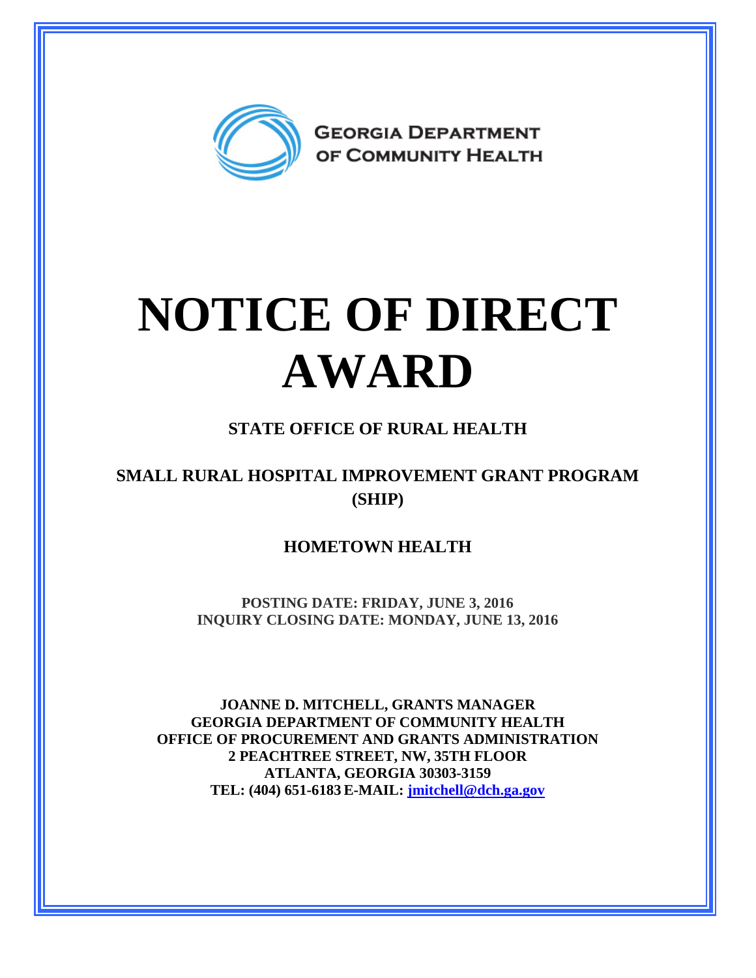

# **NOTICE OF DIRECT AWARD**

### **STATE OFFICE OF RURAL HEALTH**

#### **SMALL RURAL HOSPITAL IMPROVEMENT GRANT PROGRAM (SHIP)**

#### **HOMETOWN HEALTH**

**POSTING DATE: FRIDAY, JUNE 3, 2016 INQUIRY CLOSING DATE: MONDAY, JUNE 13, 2016** 

**JOANNE D. MITCHELL, GRANTS MANAGER GEORGIA DEPARTMENT OF COMMUNITY HEALTH OFFICE OF PROCUREMENT AND GRANTS ADMINISTRATION 2 PEACHTREE STREET, NW, 35TH FLOOR ATLANTA, GEORGIA 30303-3159 TEL: (404) 651-6183 E-MAIL: [jmitchell@dch.ga.gov](mailto:awatson@dch.ga.gov)**